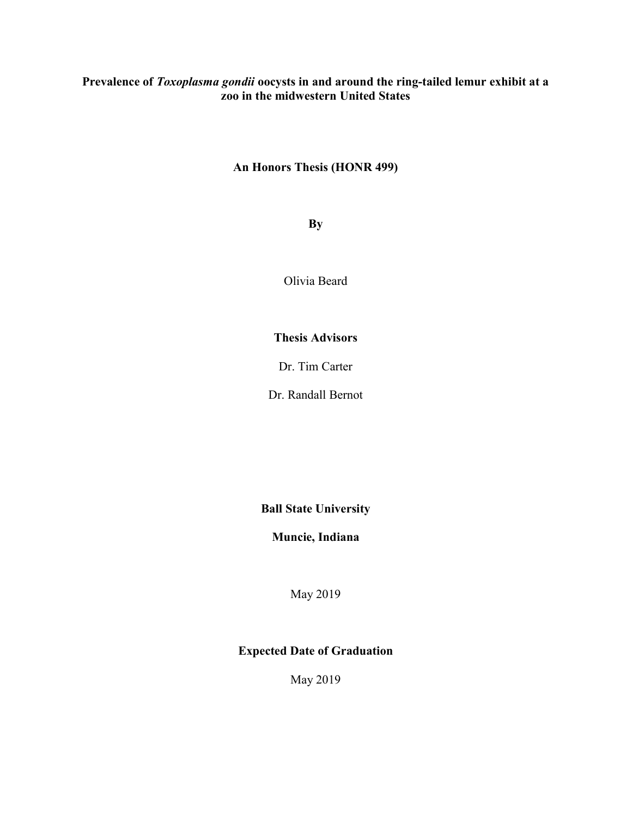## Prevalence of Toxoplasma gondii oocysts in and around the ring-tailed lemur exhibit at a zoo in the midwestern United States

## An Honors Thesis (HONR 499)

By

Olivia Beard

## Thesis Advisors

Dr. Tim Carter

Dr. Randall Bernot

Ball State University

Muncie, Indiana

May 2019

## Expected Date of Graduation

May 2019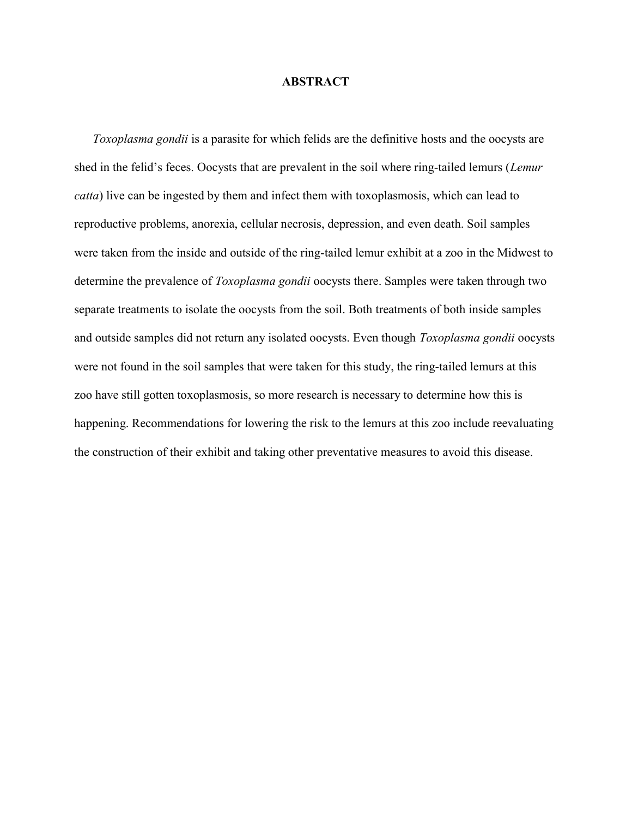### **ABSTRACT**

 Toxoplasma gondii is a parasite for which felids are the definitive hosts and the oocysts are shed in the felid's feces. Oocysts that are prevalent in the soil where ring-tailed lemurs (Lemur catta) live can be ingested by them and infect them with toxoplasmosis, which can lead to reproductive problems, anorexia, cellular necrosis, depression, and even death. Soil samples were taken from the inside and outside of the ring-tailed lemur exhibit at a zoo in the Midwest to determine the prevalence of *Toxoplasma gondii* oocysts there. Samples were taken through two separate treatments to isolate the oocysts from the soil. Both treatments of both inside samples and outside samples did not return any isolated oocysts. Even though Toxoplasma gondii oocysts were not found in the soil samples that were taken for this study, the ring-tailed lemurs at this zoo have still gotten toxoplasmosis, so more research is necessary to determine how this is happening. Recommendations for lowering the risk to the lemurs at this zoo include reevaluating the construction of their exhibit and taking other preventative measures to avoid this disease.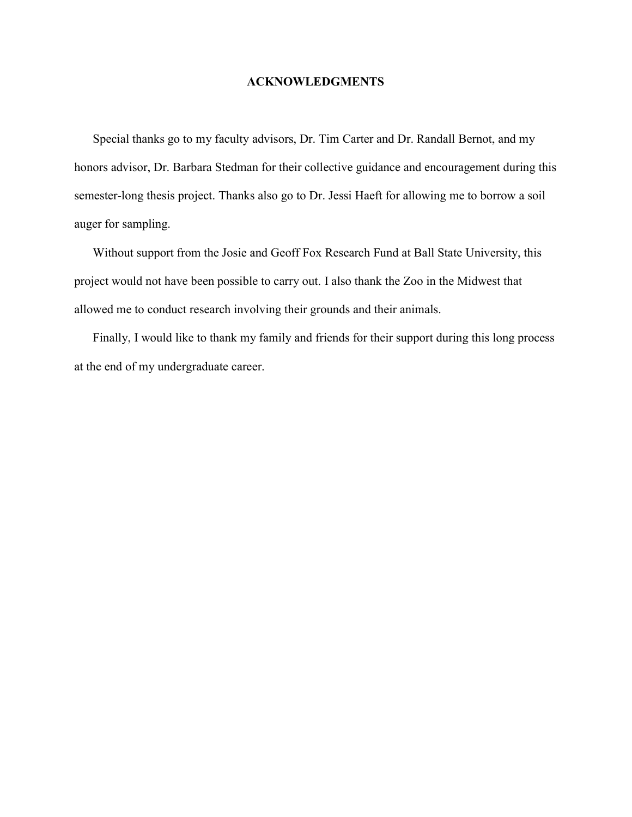### ACKNOWLEDGMENTS

 Special thanks go to my faculty advisors, Dr. Tim Carter and Dr. Randall Bernot, and my honors advisor, Dr. Barbara Stedman for their collective guidance and encouragement during this semester-long thesis project. Thanks also go to Dr. Jessi Haeft for allowing me to borrow a soil auger for sampling.

 Without support from the Josie and Geoff Fox Research Fund at Ball State University, this project would not have been possible to carry out. I also thank the Zoo in the Midwest that allowed me to conduct research involving their grounds and their animals.

 Finally, I would like to thank my family and friends for their support during this long process at the end of my undergraduate career.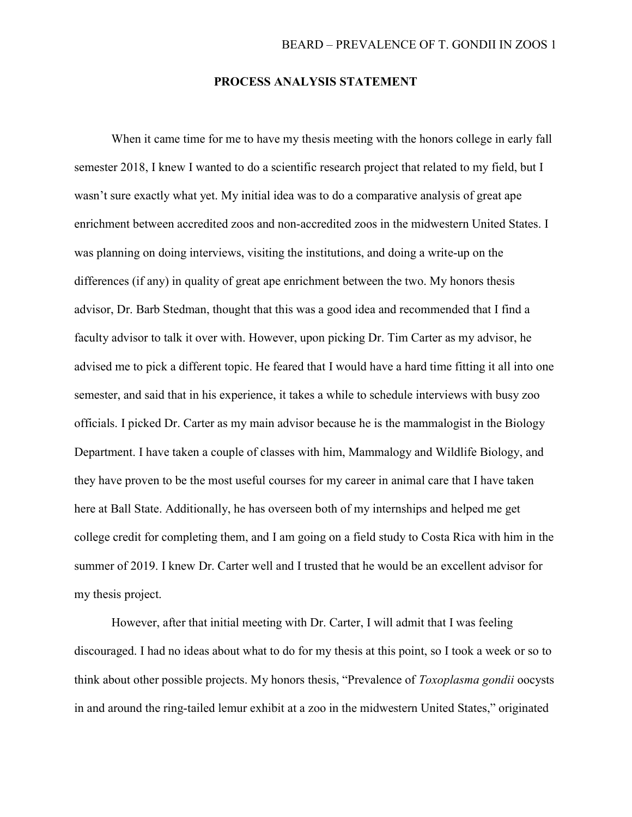### PROCESS ANALYSIS STATEMENT

When it came time for me to have my thesis meeting with the honors college in early fall semester 2018, I knew I wanted to do a scientific research project that related to my field, but I wasn't sure exactly what yet. My initial idea was to do a comparative analysis of great ape enrichment between accredited zoos and non-accredited zoos in the midwestern United States. I was planning on doing interviews, visiting the institutions, and doing a write-up on the differences (if any) in quality of great ape enrichment between the two. My honors thesis advisor, Dr. Barb Stedman, thought that this was a good idea and recommended that I find a faculty advisor to talk it over with. However, upon picking Dr. Tim Carter as my advisor, he advised me to pick a different topic. He feared that I would have a hard time fitting it all into one semester, and said that in his experience, it takes a while to schedule interviews with busy zoo officials. I picked Dr. Carter as my main advisor because he is the mammalogist in the Biology Department. I have taken a couple of classes with him, Mammalogy and Wildlife Biology, and they have proven to be the most useful courses for my career in animal care that I have taken here at Ball State. Additionally, he has overseen both of my internships and helped me get college credit for completing them, and I am going on a field study to Costa Rica with him in the summer of 2019. I knew Dr. Carter well and I trusted that he would be an excellent advisor for my thesis project.

 However, after that initial meeting with Dr. Carter, I will admit that I was feeling discouraged. I had no ideas about what to do for my thesis at this point, so I took a week or so to think about other possible projects. My honors thesis, "Prevalence of Toxoplasma gondii oocysts in and around the ring-tailed lemur exhibit at a zoo in the midwestern United States," originated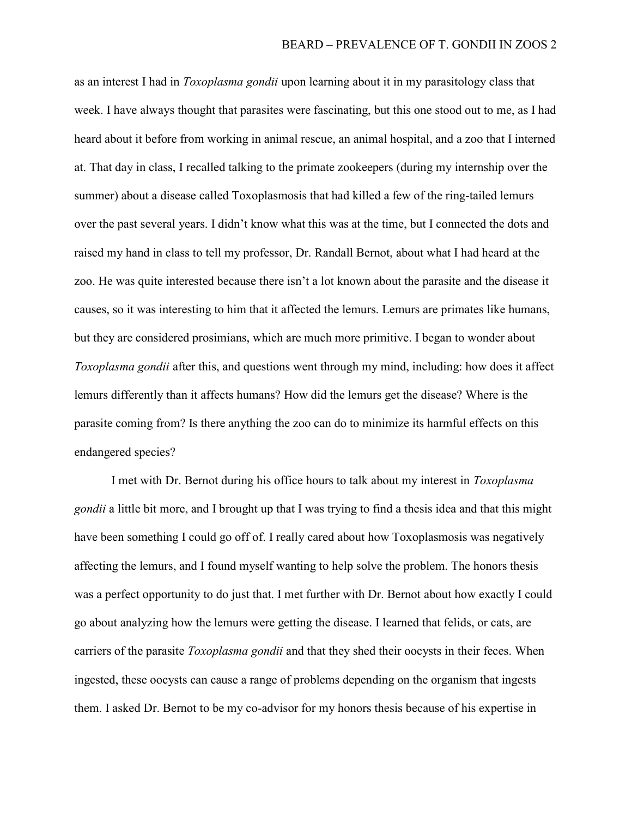as an interest I had in Toxoplasma gondii upon learning about it in my parasitology class that week. I have always thought that parasites were fascinating, but this one stood out to me, as I had heard about it before from working in animal rescue, an animal hospital, and a zoo that I interned at. That day in class, I recalled talking to the primate zookeepers (during my internship over the summer) about a disease called Toxoplasmosis that had killed a few of the ring-tailed lemurs over the past several years. I didn't know what this was at the time, but I connected the dots and raised my hand in class to tell my professor, Dr. Randall Bernot, about what I had heard at the zoo. He was quite interested because there isn't a lot known about the parasite and the disease it causes, so it was interesting to him that it affected the lemurs. Lemurs are primates like humans, but they are considered prosimians, which are much more primitive. I began to wonder about Toxoplasma gondii after this, and questions went through my mind, including: how does it affect lemurs differently than it affects humans? How did the lemurs get the disease? Where is the parasite coming from? Is there anything the zoo can do to minimize its harmful effects on this endangered species?

 I met with Dr. Bernot during his office hours to talk about my interest in Toxoplasma gondii a little bit more, and I brought up that I was trying to find a thesis idea and that this might have been something I could go off of. I really cared about how Toxoplasmosis was negatively affecting the lemurs, and I found myself wanting to help solve the problem. The honors thesis was a perfect opportunity to do just that. I met further with Dr. Bernot about how exactly I could go about analyzing how the lemurs were getting the disease. I learned that felids, or cats, are carriers of the parasite *Toxoplasma gondii* and that they shed their oocysts in their feces. When ingested, these oocysts can cause a range of problems depending on the organism that ingests them. I asked Dr. Bernot to be my co-advisor for my honors thesis because of his expertise in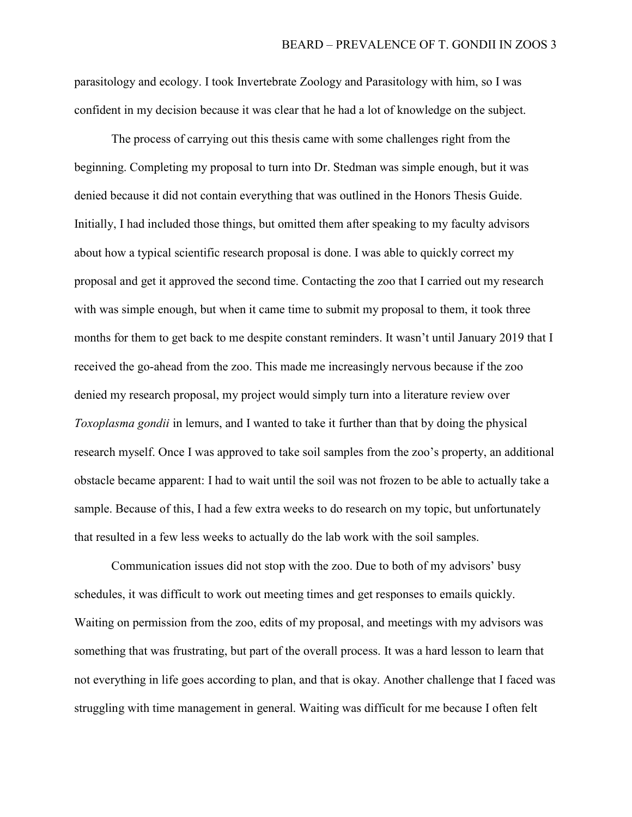parasitology and ecology. I took Invertebrate Zoology and Parasitology with him, so I was confident in my decision because it was clear that he had a lot of knowledge on the subject.

 The process of carrying out this thesis came with some challenges right from the beginning. Completing my proposal to turn into Dr. Stedman was simple enough, but it was denied because it did not contain everything that was outlined in the Honors Thesis Guide. Initially, I had included those things, but omitted them after speaking to my faculty advisors about how a typical scientific research proposal is done. I was able to quickly correct my proposal and get it approved the second time. Contacting the zoo that I carried out my research with was simple enough, but when it came time to submit my proposal to them, it took three months for them to get back to me despite constant reminders. It wasn't until January 2019 that I received the go-ahead from the zoo. This made me increasingly nervous because if the zoo denied my research proposal, my project would simply turn into a literature review over Toxoplasma gondii in lemurs, and I wanted to take it further than that by doing the physical research myself. Once I was approved to take soil samples from the zoo's property, an additional obstacle became apparent: I had to wait until the soil was not frozen to be able to actually take a sample. Because of this, I had a few extra weeks to do research on my topic, but unfortunately that resulted in a few less weeks to actually do the lab work with the soil samples.

 Communication issues did not stop with the zoo. Due to both of my advisors' busy schedules, it was difficult to work out meeting times and get responses to emails quickly. Waiting on permission from the zoo, edits of my proposal, and meetings with my advisors was something that was frustrating, but part of the overall process. It was a hard lesson to learn that not everything in life goes according to plan, and that is okay. Another challenge that I faced was struggling with time management in general. Waiting was difficult for me because I often felt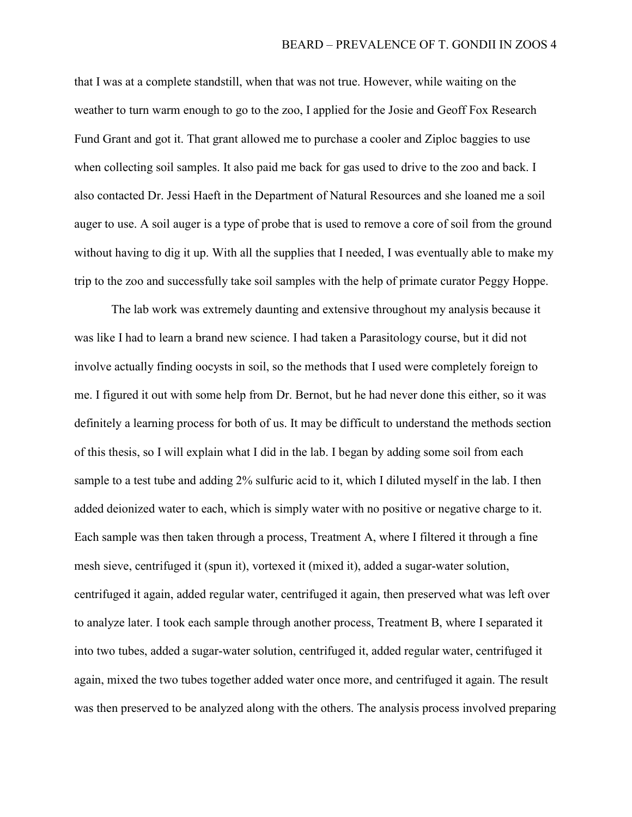that I was at a complete standstill, when that was not true. However, while waiting on the weather to turn warm enough to go to the zoo, I applied for the Josie and Geoff Fox Research Fund Grant and got it. That grant allowed me to purchase a cooler and Ziploc baggies to use when collecting soil samples. It also paid me back for gas used to drive to the zoo and back. I also contacted Dr. Jessi Haeft in the Department of Natural Resources and she loaned me a soil auger to use. A soil auger is a type of probe that is used to remove a core of soil from the ground without having to dig it up. With all the supplies that I needed, I was eventually able to make my trip to the zoo and successfully take soil samples with the help of primate curator Peggy Hoppe.

 The lab work was extremely daunting and extensive throughout my analysis because it was like I had to learn a brand new science. I had taken a Parasitology course, but it did not involve actually finding oocysts in soil, so the methods that I used were completely foreign to me. I figured it out with some help from Dr. Bernot, but he had never done this either, so it was definitely a learning process for both of us. It may be difficult to understand the methods section of this thesis, so I will explain what I did in the lab. I began by adding some soil from each sample to a test tube and adding 2% sulfuric acid to it, which I diluted myself in the lab. I then added deionized water to each, which is simply water with no positive or negative charge to it. Each sample was then taken through a process, Treatment A, where I filtered it through a fine mesh sieve, centrifuged it (spun it), vortexed it (mixed it), added a sugar-water solution, centrifuged it again, added regular water, centrifuged it again, then preserved what was left over to analyze later. I took each sample through another process, Treatment B, where I separated it into two tubes, added a sugar-water solution, centrifuged it, added regular water, centrifuged it again, mixed the two tubes together added water once more, and centrifuged it again. The result was then preserved to be analyzed along with the others. The analysis process involved preparing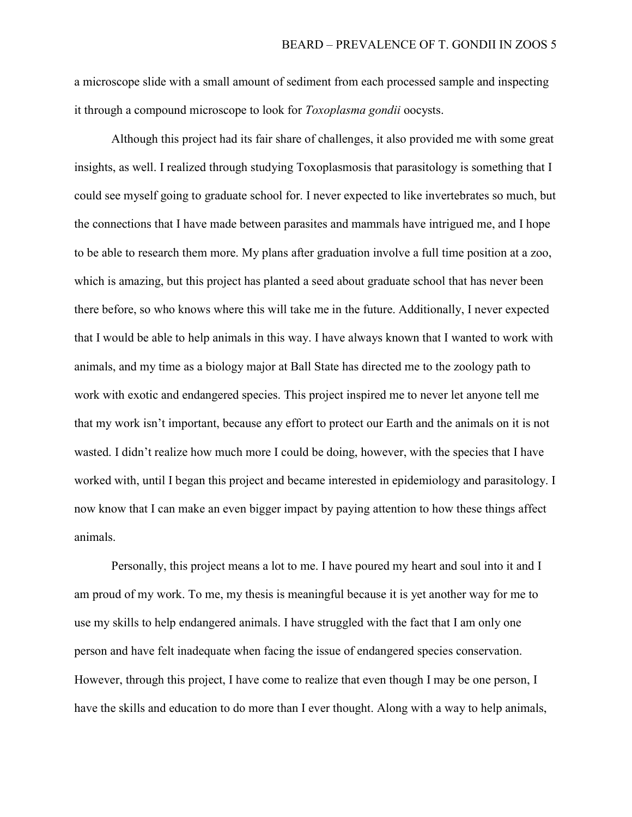a microscope slide with a small amount of sediment from each processed sample and inspecting it through a compound microscope to look for Toxoplasma gondii oocysts.

 Although this project had its fair share of challenges, it also provided me with some great insights, as well. I realized through studying Toxoplasmosis that parasitology is something that I could see myself going to graduate school for. I never expected to like invertebrates so much, but the connections that I have made between parasites and mammals have intrigued me, and I hope to be able to research them more. My plans after graduation involve a full time position at a zoo, which is amazing, but this project has planted a seed about graduate school that has never been there before, so who knows where this will take me in the future. Additionally, I never expected that I would be able to help animals in this way. I have always known that I wanted to work with animals, and my time as a biology major at Ball State has directed me to the zoology path to work with exotic and endangered species. This project inspired me to never let anyone tell me that my work isn't important, because any effort to protect our Earth and the animals on it is not wasted. I didn't realize how much more I could be doing, however, with the species that I have worked with, until I began this project and became interested in epidemiology and parasitology. I now know that I can make an even bigger impact by paying attention to how these things affect animals.

 Personally, this project means a lot to me. I have poured my heart and soul into it and I am proud of my work. To me, my thesis is meaningful because it is yet another way for me to use my skills to help endangered animals. I have struggled with the fact that I am only one person and have felt inadequate when facing the issue of endangered species conservation. However, through this project, I have come to realize that even though I may be one person, I have the skills and education to do more than I ever thought. Along with a way to help animals,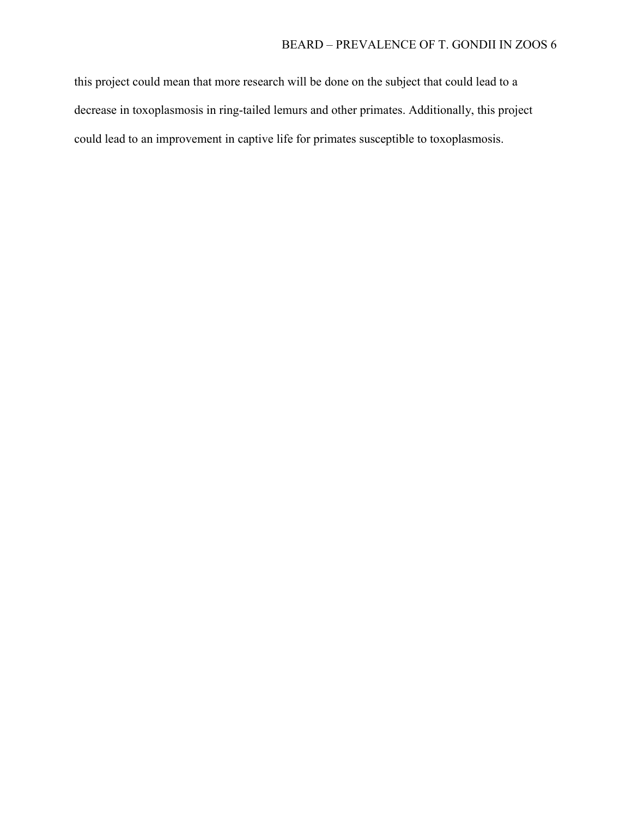this project could mean that more research will be done on the subject that could lead to a decrease in toxoplasmosis in ring-tailed lemurs and other primates. Additionally, this project could lead to an improvement in captive life for primates susceptible to toxoplasmosis.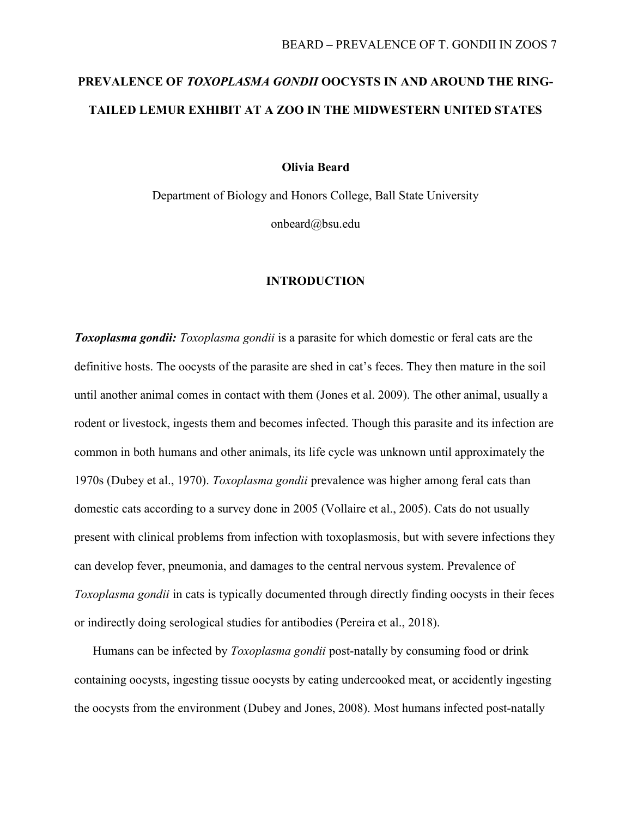# PREVALENCE OF TOXOPLASMA GONDII OOCYSTS IN AND AROUND THE RING-TAILED LEMUR EXHIBIT AT A ZOO IN THE MIDWESTERN UNITED STATES

Olivia Beard

Department of Biology and Honors College, Ball State University onbeard@bsu.edu

### INTRODUCTION

**Toxoplasma gondii:** Toxoplasma gondii is a parasite for which domestic or feral cats are the definitive hosts. The oocysts of the parasite are shed in cat's feces. They then mature in the soil until another animal comes in contact with them (Jones et al. 2009). The other animal, usually a rodent or livestock, ingests them and becomes infected. Though this parasite and its infection are common in both humans and other animals, its life cycle was unknown until approximately the 1970s (Dubey et al., 1970). Toxoplasma gondii prevalence was higher among feral cats than domestic cats according to a survey done in 2005 (Vollaire et al., 2005). Cats do not usually present with clinical problems from infection with toxoplasmosis, but with severe infections they can develop fever, pneumonia, and damages to the central nervous system. Prevalence of Toxoplasma gondii in cats is typically documented through directly finding oocysts in their feces or indirectly doing serological studies for antibodies (Pereira et al., 2018).

Humans can be infected by *Toxoplasma gondii* post-natally by consuming food or drink containing oocysts, ingesting tissue oocysts by eating undercooked meat, or accidently ingesting the oocysts from the environment (Dubey and Jones, 2008). Most humans infected post-natally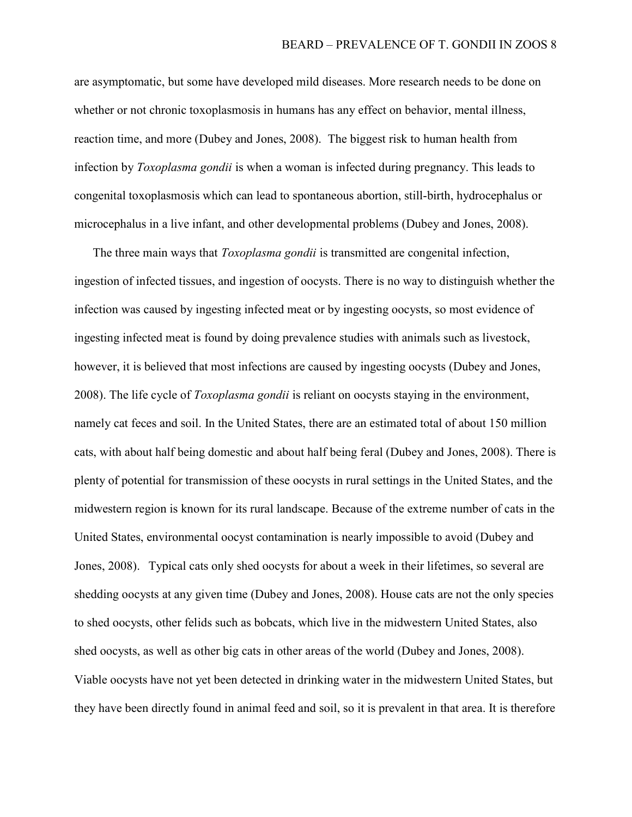are asymptomatic, but some have developed mild diseases. More research needs to be done on whether or not chronic toxoplasmosis in humans has any effect on behavior, mental illness, reaction time, and more (Dubey and Jones, 2008). The biggest risk to human health from infection by *Toxoplasma gondii* is when a woman is infected during pregnancy. This leads to congenital toxoplasmosis which can lead to spontaneous abortion, still-birth, hydrocephalus or microcephalus in a live infant, and other developmental problems (Dubey and Jones, 2008).

The three main ways that *Toxoplasma gondii* is transmitted are congenital infection, ingestion of infected tissues, and ingestion of oocysts. There is no way to distinguish whether the infection was caused by ingesting infected meat or by ingesting oocysts, so most evidence of ingesting infected meat is found by doing prevalence studies with animals such as livestock, however, it is believed that most infections are caused by ingesting oocysts (Dubey and Jones, 2008). The life cycle of Toxoplasma gondii is reliant on oocysts staying in the environment, namely cat feces and soil. In the United States, there are an estimated total of about 150 million cats, with about half being domestic and about half being feral (Dubey and Jones, 2008). There is plenty of potential for transmission of these oocysts in rural settings in the United States, and the midwestern region is known for its rural landscape. Because of the extreme number of cats in the United States, environmental oocyst contamination is nearly impossible to avoid (Dubey and Jones, 2008). Typical cats only shed oocysts for about a week in their lifetimes, so several are shedding oocysts at any given time (Dubey and Jones, 2008). House cats are not the only species to shed oocysts, other felids such as bobcats, which live in the midwestern United States, also shed oocysts, as well as other big cats in other areas of the world (Dubey and Jones, 2008). Viable oocysts have not yet been detected in drinking water in the midwestern United States, but they have been directly found in animal feed and soil, so it is prevalent in that area. It is therefore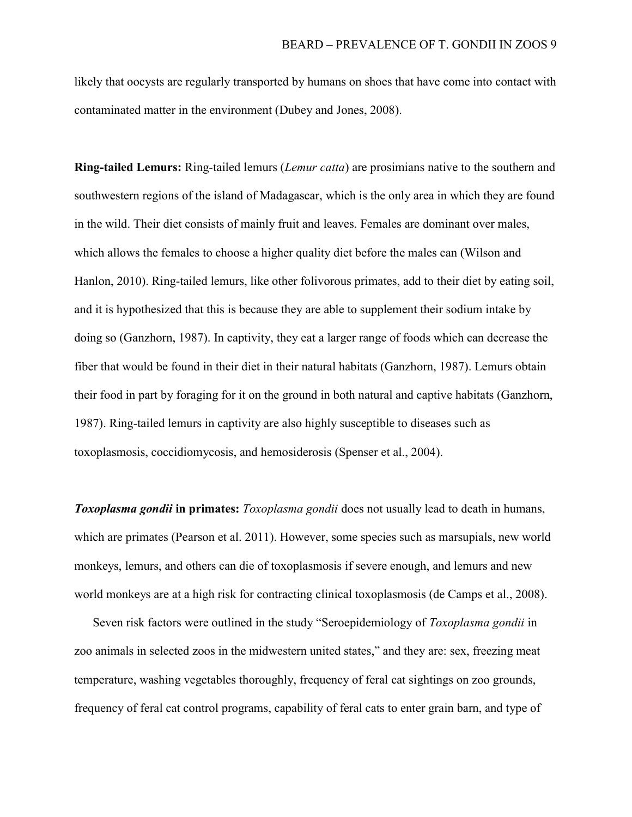likely that oocysts are regularly transported by humans on shoes that have come into contact with contaminated matter in the environment (Dubey and Jones, 2008).

Ring-tailed Lemurs: Ring-tailed lemurs (*Lemur catta*) are prosimians native to the southern and southwestern regions of the island of Madagascar, which is the only area in which they are found in the wild. Their diet consists of mainly fruit and leaves. Females are dominant over males, which allows the females to choose a higher quality diet before the males can (Wilson and Hanlon, 2010). Ring-tailed lemurs, like other folivorous primates, add to their diet by eating soil, and it is hypothesized that this is because they are able to supplement their sodium intake by doing so (Ganzhorn, 1987). In captivity, they eat a larger range of foods which can decrease the fiber that would be found in their diet in their natural habitats (Ganzhorn, 1987). Lemurs obtain their food in part by foraging for it on the ground in both natural and captive habitats (Ganzhorn, 1987). Ring-tailed lemurs in captivity are also highly susceptible to diseases such as toxoplasmosis, coccidiomycosis, and hemosiderosis (Spenser et al., 2004).

**Toxoplasma gondii in primates:** Toxoplasma gondii does not usually lead to death in humans, which are primates (Pearson et al. 2011). However, some species such as marsupials, new world monkeys, lemurs, and others can die of toxoplasmosis if severe enough, and lemurs and new world monkeys are at a high risk for contracting clinical toxoplasmosis (de Camps et al., 2008).

Seven risk factors were outlined in the study "Seroepidemiology of Toxoplasma gondii in zoo animals in selected zoos in the midwestern united states," and they are: sex, freezing meat temperature, washing vegetables thoroughly, frequency of feral cat sightings on zoo grounds, frequency of feral cat control programs, capability of feral cats to enter grain barn, and type of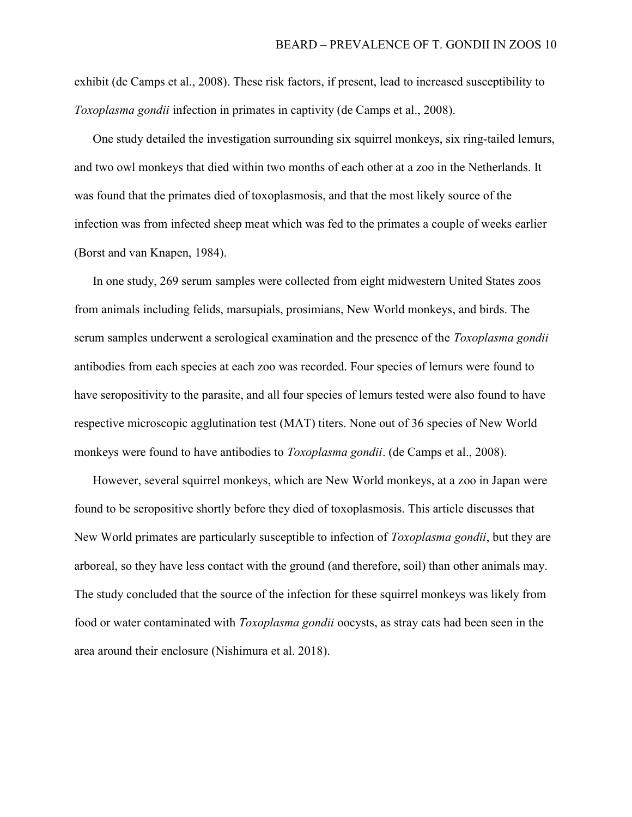exhibit (de Camps et al., 2008). These risk factors, if present, lead to increased susceptibility to Toxoplasma gondii infection in primates in captivity (de Camps et al., 2008).

 One study detailed the investigation surrounding six squirrel monkeys, six ring-tailed lemurs, and two owl monkeys that died within two months of each other at a zoo in the Netherlands. It was found that the primates died of toxoplasmosis, and that the most likely source of the infection was from infected sheep meat which was fed to the primates a couple of weeks earlier (Borst and van Knapen, 1984).

 In one study, 269 serum samples were collected from eight midwestern United States zoos from animals including felids, marsupials, prosimians, New World monkeys, and birds. The serum samples underwent a serological examination and the presence of the Toxoplasma gondii antibodies from each species at each zoo was recorded. Four species of lemurs were found to have seropositivity to the parasite, and all four species of lemurs tested were also found to have respective microscopic agglutination test (MAT) titers. None out of 36 species of New World monkeys were found to have antibodies to *Toxoplasma gondii*. (de Camps et al., 2008).

 However, several squirrel monkeys, which are New World monkeys, at a zoo in Japan were found to be seropositive shortly before they died of toxoplasmosis. This article discusses that New World primates are particularly susceptible to infection of *Toxoplasma gondii*, but they are arboreal, so they have less contact with the ground (and therefore, soil) than other animals may. The study concluded that the source of the infection for these squirrel monkeys was likely from food or water contaminated with Toxoplasma gondii oocysts, as stray cats had been seen in the area around their enclosure (Nishimura et al. 2018).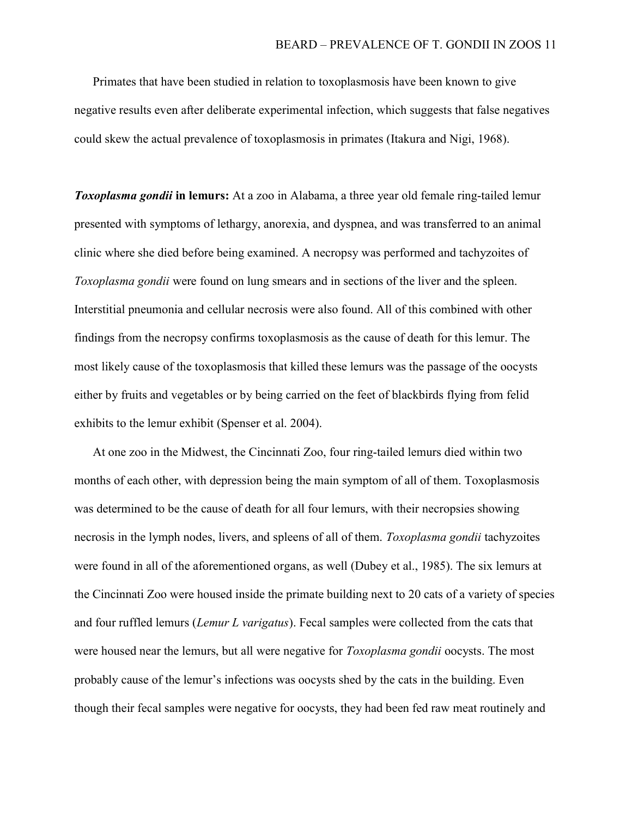Primates that have been studied in relation to toxoplasmosis have been known to give negative results even after deliberate experimental infection, which suggests that false negatives could skew the actual prevalence of toxoplasmosis in primates (Itakura and Nigi, 1968).

**Toxoplasma gondii in lemurs:** At a zoo in Alabama, a three year old female ring-tailed lemur presented with symptoms of lethargy, anorexia, and dyspnea, and was transferred to an animal clinic where she died before being examined. A necropsy was performed and tachyzoites of Toxoplasma gondii were found on lung smears and in sections of the liver and the spleen. Interstitial pneumonia and cellular necrosis were also found. All of this combined with other findings from the necropsy confirms toxoplasmosis as the cause of death for this lemur. The most likely cause of the toxoplasmosis that killed these lemurs was the passage of the oocysts either by fruits and vegetables or by being carried on the feet of blackbirds flying from felid exhibits to the lemur exhibit (Spenser et al. 2004).

 At one zoo in the Midwest, the Cincinnati Zoo, four ring-tailed lemurs died within two months of each other, with depression being the main symptom of all of them. Toxoplasmosis was determined to be the cause of death for all four lemurs, with their necropsies showing necrosis in the lymph nodes, livers, and spleens of all of them. Toxoplasma gondii tachyzoites were found in all of the aforementioned organs, as well (Dubey et al., 1985). The six lemurs at the Cincinnati Zoo were housed inside the primate building next to 20 cats of a variety of species and four ruffled lemurs (*Lemur L varigatus*). Fecal samples were collected from the cats that were housed near the lemurs, but all were negative for *Toxoplasma gondii* oocysts. The most probably cause of the lemur's infections was oocysts shed by the cats in the building. Even though their fecal samples were negative for oocysts, they had been fed raw meat routinely and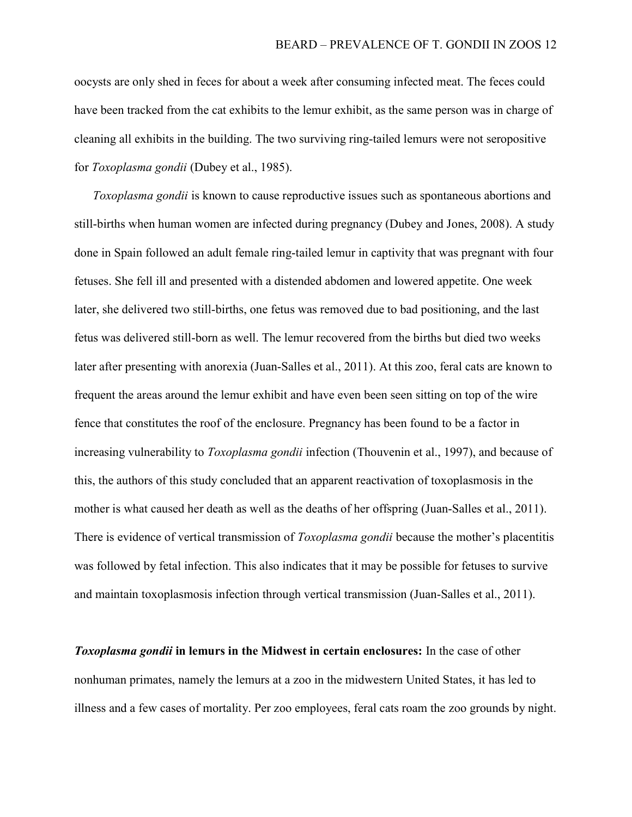oocysts are only shed in feces for about a week after consuming infected meat. The feces could have been tracked from the cat exhibits to the lemur exhibit, as the same person was in charge of cleaning all exhibits in the building. The two surviving ring-tailed lemurs were not seropositive for Toxoplasma gondii (Dubey et al., 1985).

Toxoplasma gondii is known to cause reproductive issues such as spontaneous abortions and still-births when human women are infected during pregnancy (Dubey and Jones, 2008). A study done in Spain followed an adult female ring-tailed lemur in captivity that was pregnant with four fetuses. She fell ill and presented with a distended abdomen and lowered appetite. One week later, she delivered two still-births, one fetus was removed due to bad positioning, and the last fetus was delivered still-born as well. The lemur recovered from the births but died two weeks later after presenting with anorexia (Juan-Salles et al., 2011). At this zoo, feral cats are known to frequent the areas around the lemur exhibit and have even been seen sitting on top of the wire fence that constitutes the roof of the enclosure. Pregnancy has been found to be a factor in increasing vulnerability to *Toxoplasma gondii* infection (Thouvenin et al., 1997), and because of this, the authors of this study concluded that an apparent reactivation of toxoplasmosis in the mother is what caused her death as well as the deaths of her offspring (Juan-Salles et al., 2011). There is evidence of vertical transmission of *Toxoplasma gondii* because the mother's placentitis was followed by fetal infection. This also indicates that it may be possible for fetuses to survive and maintain toxoplasmosis infection through vertical transmission (Juan-Salles et al., 2011).

**Toxoplasma gondii in lemurs in the Midwest in certain enclosures:** In the case of other nonhuman primates, namely the lemurs at a zoo in the midwestern United States, it has led to illness and a few cases of mortality. Per zoo employees, feral cats roam the zoo grounds by night.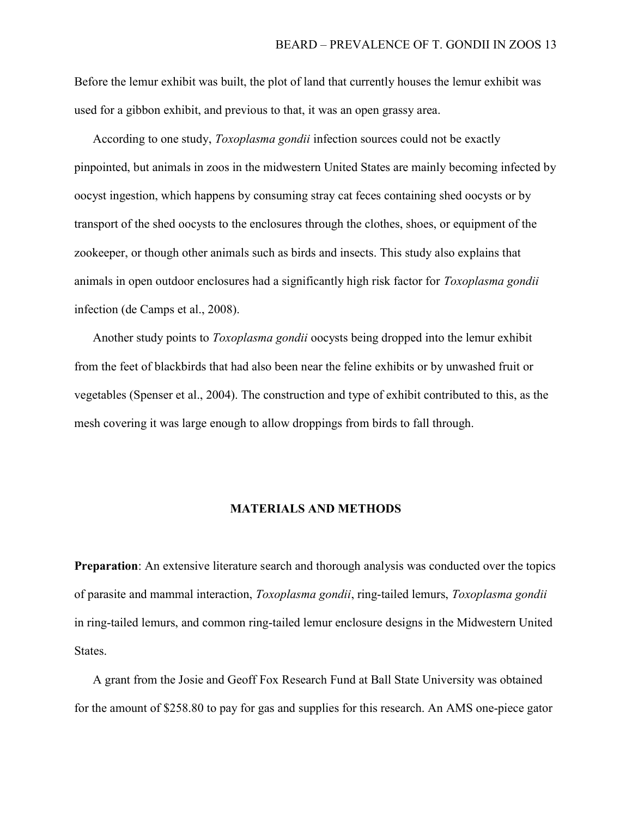Before the lemur exhibit was built, the plot of land that currently houses the lemur exhibit was used for a gibbon exhibit, and previous to that, it was an open grassy area.

According to one study, *Toxoplasma gondii* infection sources could not be exactly pinpointed, but animals in zoos in the midwestern United States are mainly becoming infected by oocyst ingestion, which happens by consuming stray cat feces containing shed oocysts or by transport of the shed oocysts to the enclosures through the clothes, shoes, or equipment of the zookeeper, or though other animals such as birds and insects. This study also explains that animals in open outdoor enclosures had a significantly high risk factor for *Toxoplasma gondii* infection (de Camps et al., 2008).

Another study points to Toxoplasma gondii oocysts being dropped into the lemur exhibit from the feet of blackbirds that had also been near the feline exhibits or by unwashed fruit or vegetables (Spenser et al., 2004). The construction and type of exhibit contributed to this, as the mesh covering it was large enough to allow droppings from birds to fall through.

#### MATERIALS AND METHODS

Preparation: An extensive literature search and thorough analysis was conducted over the topics of parasite and mammal interaction, Toxoplasma gondii, ring-tailed lemurs, Toxoplasma gondii in ring-tailed lemurs, and common ring-tailed lemur enclosure designs in the Midwestern United States.

 A grant from the Josie and Geoff Fox Research Fund at Ball State University was obtained for the amount of \$258.80 to pay for gas and supplies for this research. An AMS one-piece gator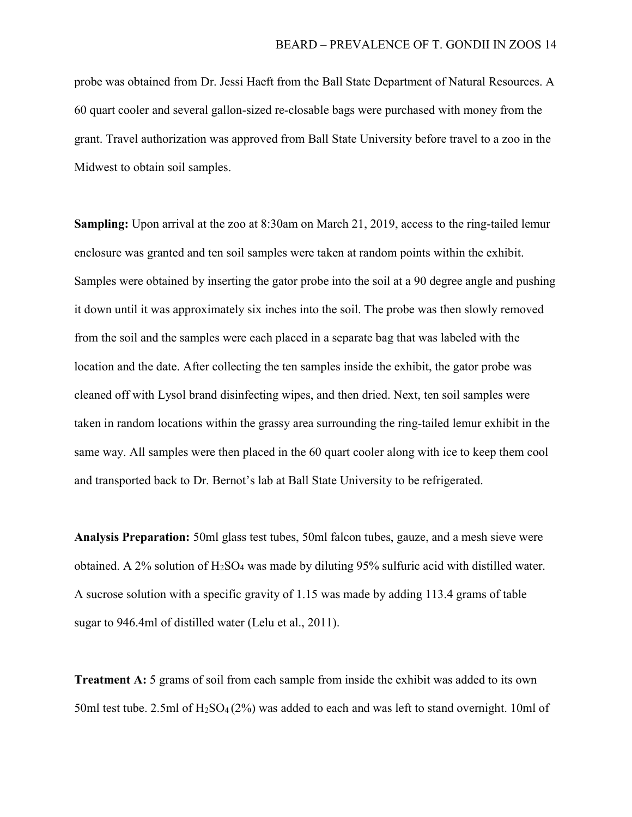probe was obtained from Dr. Jessi Haeft from the Ball State Department of Natural Resources. A 60 quart cooler and several gallon-sized re-closable bags were purchased with money from the grant. Travel authorization was approved from Ball State University before travel to a zoo in the Midwest to obtain soil samples.

Sampling: Upon arrival at the zoo at 8:30am on March 21, 2019, access to the ring-tailed lemur enclosure was granted and ten soil samples were taken at random points within the exhibit. Samples were obtained by inserting the gator probe into the soil at a 90 degree angle and pushing it down until it was approximately six inches into the soil. The probe was then slowly removed from the soil and the samples were each placed in a separate bag that was labeled with the location and the date. After collecting the ten samples inside the exhibit, the gator probe was cleaned off with Lysol brand disinfecting wipes, and then dried. Next, ten soil samples were taken in random locations within the grassy area surrounding the ring-tailed lemur exhibit in the same way. All samples were then placed in the 60 quart cooler along with ice to keep them cool and transported back to Dr. Bernot's lab at Ball State University to be refrigerated.

Analysis Preparation: 50ml glass test tubes, 50ml falcon tubes, gauze, and a mesh sieve were obtained. A 2% solution of  $H_2SO_4$  was made by diluting 95% sulfuric acid with distilled water. A sucrose solution with a specific gravity of 1.15 was made by adding 113.4 grams of table sugar to 946.4ml of distilled water (Lelu et al., 2011).

Treatment A: 5 grams of soil from each sample from inside the exhibit was added to its own 50ml test tube. 2.5ml of  $H_2SO_4(2\%)$  was added to each and was left to stand overnight. 10ml of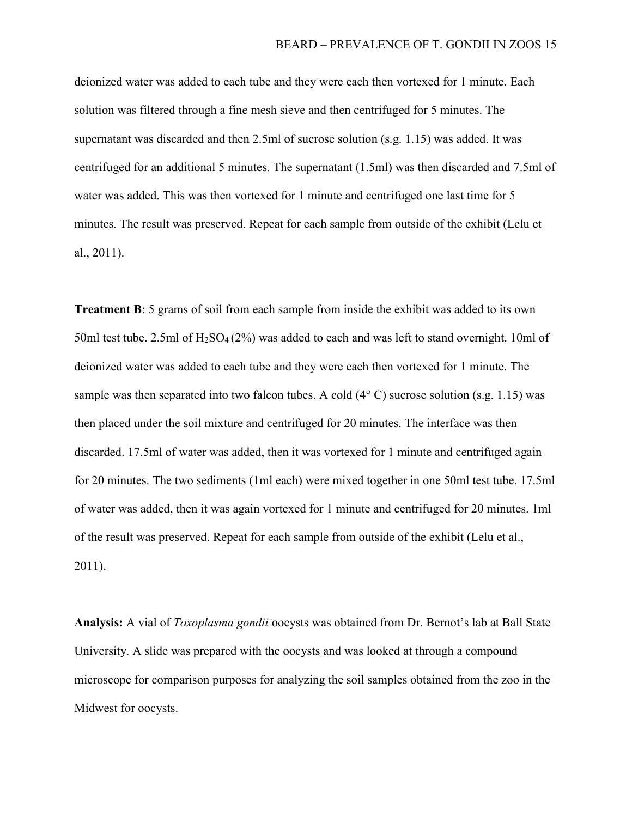deionized water was added to each tube and they were each then vortexed for 1 minute. Each solution was filtered through a fine mesh sieve and then centrifuged for 5 minutes. The supernatant was discarded and then 2.5ml of sucrose solution (s.g. 1.15) was added. It was centrifuged for an additional 5 minutes. The supernatant (1.5ml) was then discarded and 7.5ml of water was added. This was then vortexed for 1 minute and centrifuged one last time for 5 minutes. The result was preserved. Repeat for each sample from outside of the exhibit (Lelu et al., 2011).

Treatment B: 5 grams of soil from each sample from inside the exhibit was added to its own 50ml test tube. 2.5ml of  $H_2SO_4(2%)$  was added to each and was left to stand overnight. 10ml of deionized water was added to each tube and they were each then vortexed for 1 minute. The sample was then separated into two falcon tubes. A cold  $(4^{\circ} \text{ C})$  sucrose solution (s.g. 1.15) was then placed under the soil mixture and centrifuged for 20 minutes. The interface was then discarded. 17.5ml of water was added, then it was vortexed for 1 minute and centrifuged again for 20 minutes. The two sediments (1ml each) were mixed together in one 50ml test tube. 17.5ml of water was added, then it was again vortexed for 1 minute and centrifuged for 20 minutes. 1ml of the result was preserved. Repeat for each sample from outside of the exhibit (Lelu et al., 2011).

Analysis: A vial of *Toxoplasma gondii* oocysts was obtained from Dr. Bernot's lab at Ball State University. A slide was prepared with the oocysts and was looked at through a compound microscope for comparison purposes for analyzing the soil samples obtained from the zoo in the Midwest for oocysts.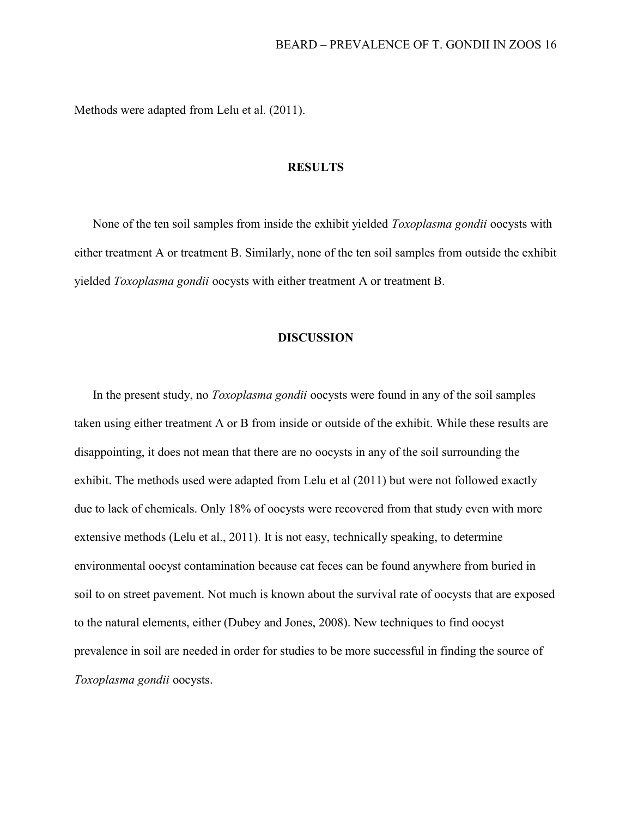Methods were adapted from Lelu et al. (2011).

### **RESULTS**

 None of the ten soil samples from inside the exhibit yielded Toxoplasma gondii oocysts with either treatment A or treatment B. Similarly, none of the ten soil samples from outside the exhibit yielded Toxoplasma gondii oocysts with either treatment A or treatment B.

### DISCUSSION

In the present study, no *Toxoplasma gondii* oocysts were found in any of the soil samples taken using either treatment A or B from inside or outside of the exhibit. While these results are disappointing, it does not mean that there are no oocysts in any of the soil surrounding the exhibit. The methods used were adapted from Lelu et al (2011) but were not followed exactly due to lack of chemicals. Only 18% of oocysts were recovered from that study even with more extensive methods (Lelu et al., 2011). It is not easy, technically speaking, to determine environmental oocyst contamination because cat feces can be found anywhere from buried in soil to on street pavement. Not much is known about the survival rate of oocysts that are exposed to the natural elements, either (Dubey and Jones, 2008). New techniques to find oocyst prevalence in soil are needed in order for studies to be more successful in finding the source of Toxoplasma gondii oocysts.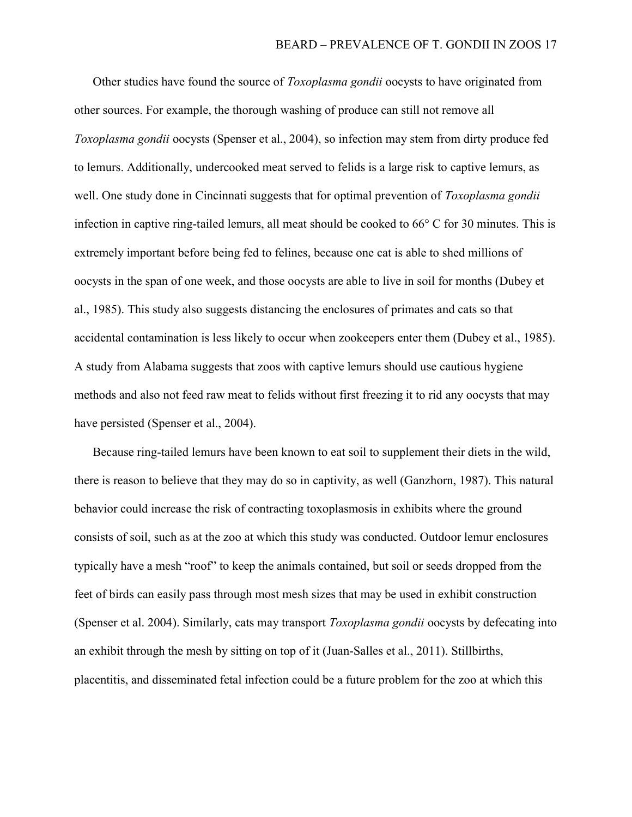Other studies have found the source of *Toxoplasma gondii* oocysts to have originated from other sources. For example, the thorough washing of produce can still not remove all Toxoplasma gondii oocysts (Spenser et al., 2004), so infection may stem from dirty produce fed to lemurs. Additionally, undercooked meat served to felids is a large risk to captive lemurs, as well. One study done in Cincinnati suggests that for optimal prevention of *Toxoplasma gondii* infection in captive ring-tailed lemurs, all meat should be cooked to 66° C for 30 minutes. This is extremely important before being fed to felines, because one cat is able to shed millions of oocysts in the span of one week, and those oocysts are able to live in soil for months (Dubey et al., 1985). This study also suggests distancing the enclosures of primates and cats so that accidental contamination is less likely to occur when zookeepers enter them (Dubey et al., 1985). A study from Alabama suggests that zoos with captive lemurs should use cautious hygiene methods and also not feed raw meat to felids without first freezing it to rid any oocysts that may have persisted (Spenser et al., 2004).

 Because ring-tailed lemurs have been known to eat soil to supplement their diets in the wild, there is reason to believe that they may do so in captivity, as well (Ganzhorn, 1987). This natural behavior could increase the risk of contracting toxoplasmosis in exhibits where the ground consists of soil, such as at the zoo at which this study was conducted. Outdoor lemur enclosures typically have a mesh "roof" to keep the animals contained, but soil or seeds dropped from the feet of birds can easily pass through most mesh sizes that may be used in exhibit construction (Spenser et al. 2004). Similarly, cats may transport Toxoplasma gondii oocysts by defecating into an exhibit through the mesh by sitting on top of it (Juan-Salles et al., 2011). Stillbirths, placentitis, and disseminated fetal infection could be a future problem for the zoo at which this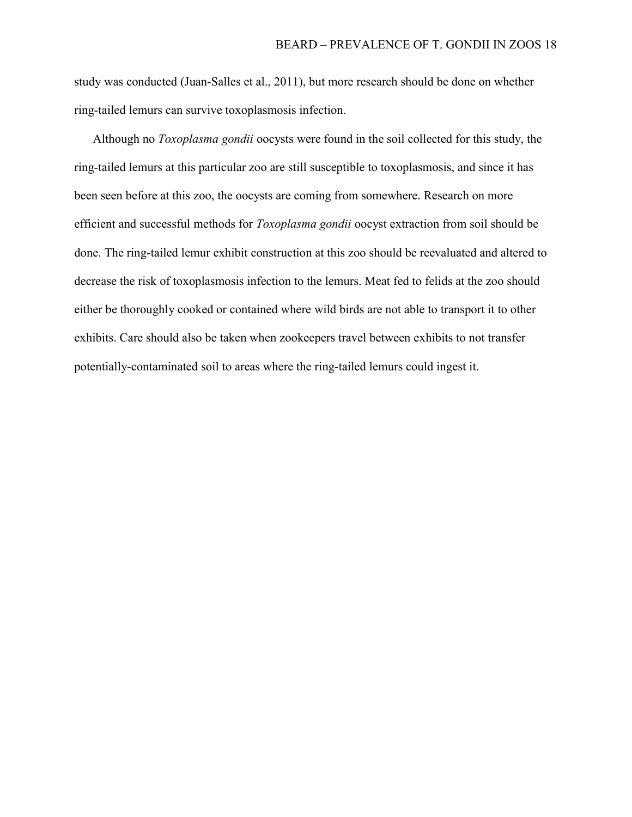study was conducted (Juan-Salles et al., 2011), but more research should be done on whether ring-tailed lemurs can survive toxoplasmosis infection.

Although no *Toxoplasma gondii* oocysts were found in the soil collected for this study, the ring-tailed lemurs at this particular zoo are still susceptible to toxoplasmosis, and since it has been seen before at this zoo, the oocysts are coming from somewhere. Research on more efficient and successful methods for Toxoplasma gondii oocyst extraction from soil should be done. The ring-tailed lemur exhibit construction at this zoo should be reevaluated and altered to decrease the risk of toxoplasmosis infection to the lemurs. Meat fed to felids at the zoo should either be thoroughly cooked or contained where wild birds are not able to transport it to other exhibits. Care should also be taken when zookeepers travel between exhibits to not transfer potentially-contaminated soil to areas where the ring-tailed lemurs could ingest it.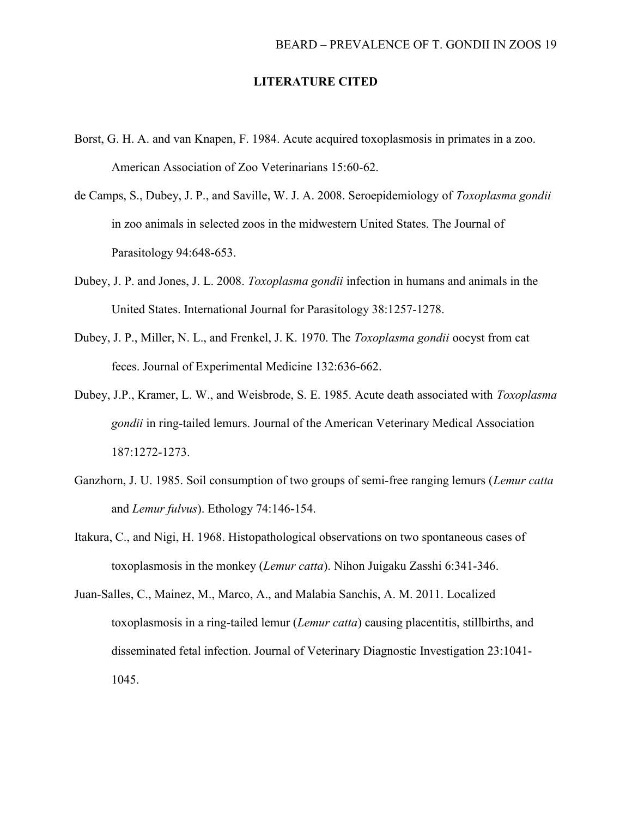### LITERATURE CITED

- Borst, G. H. A. and van Knapen, F. 1984. Acute acquired toxoplasmosis in primates in a zoo. American Association of Zoo Veterinarians 15:60-62.
- de Camps, S., Dubey, J. P., and Saville, W. J. A. 2008. Seroepidemiology of Toxoplasma gondii in zoo animals in selected zoos in the midwestern United States. The Journal of Parasitology 94:648-653.
- Dubey, J. P. and Jones, J. L. 2008. Toxoplasma gondii infection in humans and animals in the United States. International Journal for Parasitology 38:1257-1278.
- Dubey, J. P., Miller, N. L., and Frenkel, J. K. 1970. The Toxoplasma gondii oocyst from cat feces. Journal of Experimental Medicine 132:636-662.
- Dubey, J.P., Kramer, L. W., and Weisbrode, S. E. 1985. Acute death associated with *Toxoplasma* gondii in ring-tailed lemurs. Journal of the American Veterinary Medical Association 187:1272-1273.
- Ganzhorn, J. U. 1985. Soil consumption of two groups of semi-free ranging lemurs (Lemur catta and Lemur fulvus). Ethology 74:146-154.
- Itakura, C., and Nigi, H. 1968. Histopathological observations on two spontaneous cases of toxoplasmosis in the monkey *(Lemur catta)*. Nihon Juigaku Zasshi 6:341-346.
- Juan-Salles, C., Mainez, M., Marco, A., and Malabia Sanchis, A. M. 2011. Localized toxoplasmosis in a ring-tailed lemur *(Lemur catta)* causing placentitis, stillbirths, and disseminated fetal infection. Journal of Veterinary Diagnostic Investigation 23:1041- 1045.